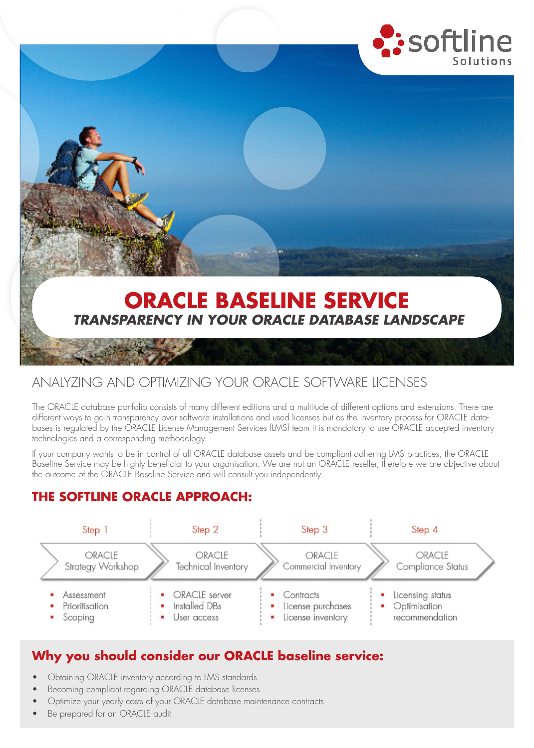



# ANALYZING AND OPTIMIZING YOUR ORACLE SOFTWARE LICENSES

The ORACLE database portfolio consists of many different editions and a multitude of different options and extensions. There are different ways to gain transparency over software installations and used licenses but as the inventory process for ORACLE databases is regulated by the ORACLE License Management Services (LMS) team it is mandatory to use ORACLE accepted inventory technologies and a corresponding methodology.

If your company wants to be in control of all ORACLE database assets and be compliant adhering LMS practices, the ORACLE Baseline Service may be highly beneficial to your organisation. We are not an ORACLE reseller, therefore we are objective about the outcome of the ORACLE Baseline Service and will consult you independently.

# **THE SOFTLINE ORACLE APPROACH:**



## **Why you should consider our ORACLE baseline service:**

- Obtaining ORACLE inventory according to LMS standards
- Becoming compliant regarding ORACLE database licenses
- Optimize your yearly costs of your ORACLE database maintenance contracts
- Be prepared for an ORACLE audit